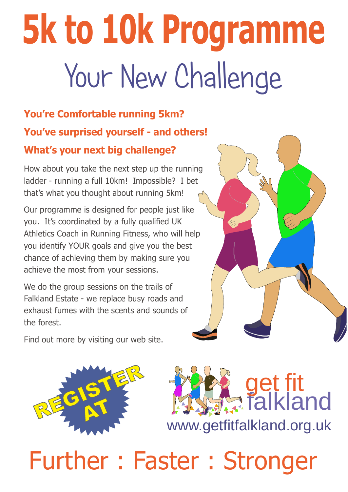# Your New Challenge 5k to 10k Programme

#### You're Comfortable running 5km? You've surprised yourself - and others! What's your next big challenge?

How about you take the next step up the running ladder - running a full 10km! Impossible? I bet that's what you thought about running 5km!

Our programme is designed for people just like you. It's coordinated by a fully qualified UK Athletics Coach in Running Fitness, who will help you identify YOUR goals and give you the best chance of achieving them by making sure you achieve the most from your sessions.

We do the group sessions on the trails of Falkland Estate - we replace busy roads and exhaust fumes with the scents and sounds of the forest.

Find out more by visiting our web site.





## Further : Faster : Stronger